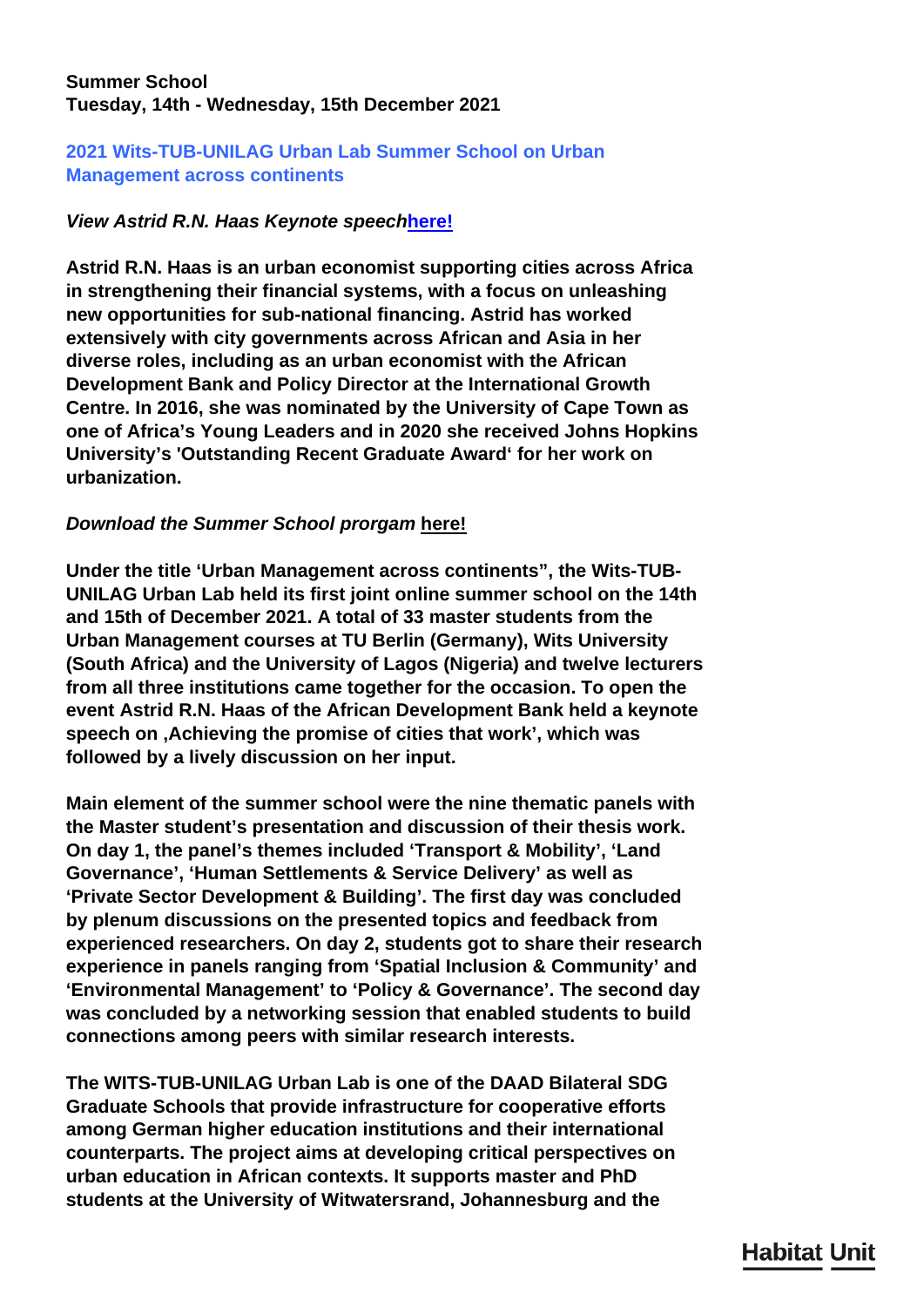## **Summer School Tuesday, 14th - Wednesday, 15th December 2021**

## **2021 Wits-TUB-UNILAG Urban Lab Summer School on Urban Management across continents**

## *View Astrid R.N. Haas Keynote speech***[here!](https://www.youtube.com/watch?v=eyKqWR3rJ6c)**

**Astrid R.N. Haas is an urban economist supporting cities across Africa in strengthening their financial systems, with a focus on unleashing new opportunities for sub-national financing. Astrid has worked extensively with city governments across African and Asia in her diverse roles, including as an urban economist with the African Development Bank and Policy Director at the International Growth Centre. In 2016, she was nominated by the University of Cape Town as one of Africa's Young Leaders and in 2020 she received Johns Hopkins University's 'Outstanding Recent Graduate Award' for her work on urbanization.**

## *Download the Summer School prorgam* **here!**

**Under the title 'Urban Management across continents", the Wits-TUB-UNILAG Urban Lab held its first joint online summer school on the 14th and 15th of December 2021. A total of 33 master students from the Urban Management courses at TU Berlin (Germany), Wits University (South Africa) and the University of Lagos (Nigeria) and twelve lecturers from all three institutions came together for the occasion. To open the event Astrid R.N. Haas of the African Development Bank held a keynote speech on 'Achieving the promise of cities that work', which was followed by a lively discussion on her input.**

**Main element of the summer school were the nine thematic panels with the Master student's presentation and discussion of their thesis work. On day 1, the panel's themes included 'Transport & Mobility', 'Land Governance', 'Human Settlements & Service Delivery' as well as 'Private Sector Development & Building'. The first day was concluded by plenum discussions on the presented topics and feedback from experienced researchers. On day 2, students got to share their research experience in panels ranging from 'Spatial Inclusion & Community' and 'Environmental Management' to 'Policy & Governance'. The second day was concluded by a networking session that enabled students to build connections among peers with similar research interests.**

**The WITS-TUB-UNILAG Urban Lab is one of the DAAD Bilateral SDG Graduate Schools that provide infrastructure for cooperative efforts among German higher education institutions and their international counterparts. The project aims at developing critical perspectives on urban education in African contexts. It supports master and PhD students at the University of Witwatersrand, Johannesburg and the**